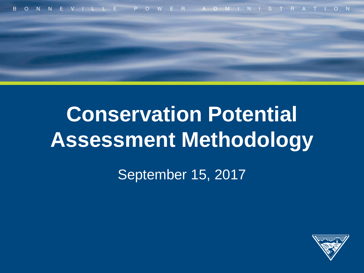

# **Conservation Potential Assessment Methodology**

September 15, 2017

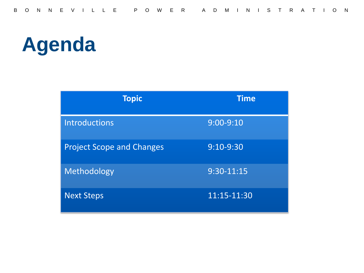# **Agenda**

| <b>Topic</b>                     | <b>Time</b>   |
|----------------------------------|---------------|
| <b>Introductions</b>             | $9:00 - 9:10$ |
| <b>Project Scope and Changes</b> | 9:10-9:30     |
| Methodology                      | 9:30-11:15    |
| <b>Next Steps</b>                | 11:15-11:30   |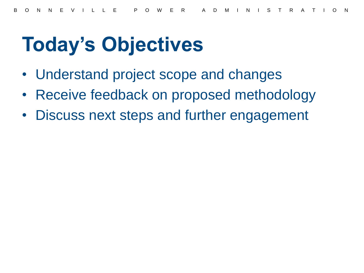## **Today's Objectives**

- Understand project scope and changes
- Receive feedback on proposed methodology
- Discuss next steps and further engagement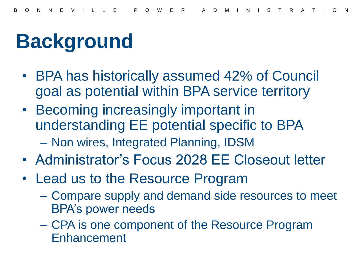# **Background**

- BPA has historically assumed 42% of Council goal as potential within BPA service territory
- Becoming increasingly important in understanding EE potential specific to BPA – Non wires, Integrated Planning, IDSM
- Administrator's Focus 2028 EE Closeout letter
- Lead us to the Resource Program
	- Compare supply and demand side resources to meet BPA's power needs
	- CPA is one component of the Resource Program **Enhancement**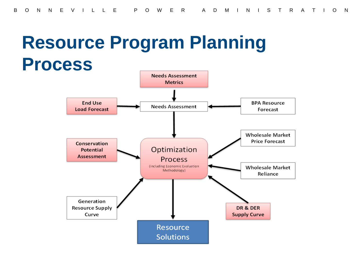#### **Resource Program Planning Process**

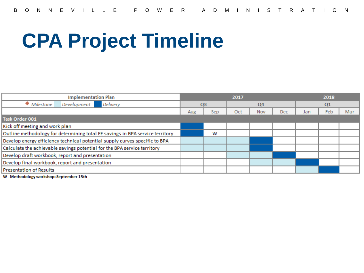# **CPA Project Timeline**

| <b>Implementation Plan</b>                                                    |                | 2017 |                |     |            | 2018           |     |     |
|-------------------------------------------------------------------------------|----------------|------|----------------|-----|------------|----------------|-----|-----|
| Delivery<br>• Milestone<br>Development                                        | Q <sub>3</sub> |      | Q <sub>4</sub> |     |            | Q <sub>1</sub> |     |     |
|                                                                               | Aug            | Sep  | Oct            | Nov | <b>Dec</b> | Jan            | Feb | Mar |
| Task Order 001                                                                |                |      |                |     |            |                |     |     |
| Kick off meeting and work plan                                                |                |      |                |     |            |                |     |     |
| Outline methodology for determining total EE savings in BPA service territory |                | w    |                |     |            |                |     |     |
| Develop energy efficiency technical potential supply curves specific to BPA   |                |      |                |     |            |                |     |     |
| Calculate the achievable savings potential for the BPA service territory      |                |      |                |     |            |                |     |     |
| Develop draft workbook, report and presentation                               |                |      |                |     |            |                |     |     |
| Develop final workbook, report and presentation                               |                |      |                |     |            |                |     |     |
| <b>Presentation of Results</b>                                                |                |      |                |     |            |                |     |     |

W - Methodology workshop: September 15th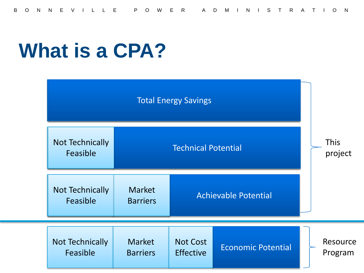#### **What is a CPA?**

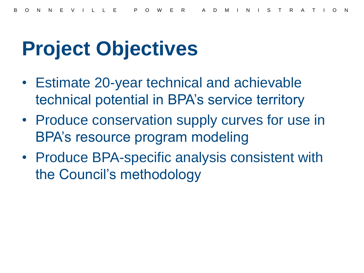## **Project Objectives**

- Estimate 20-year technical and achievable technical potential in BPA's service territory
- Produce conservation supply curves for use in BPA's resource program modeling
- Produce BPA-specific analysis consistent with the Council's methodology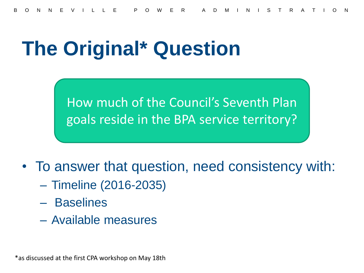### **The Original\* Question**

How much of the Council's Seventh Plan goals reside in the BPA service territory?

• To answer that question, need consistency with:

- Timeline (2016-2035)
- Baselines
- Available measures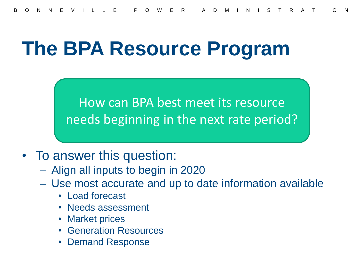#### **The BPA Resource Program**

How can BPA best meet its resource needs beginning in the next rate period?

- To answer this question:
	- Align all inputs to begin in 2020
	- Use most accurate and up to date information available
		- Load forecast
		- Needs assessment
		- Market prices
		- Generation Resources
		- Demand Response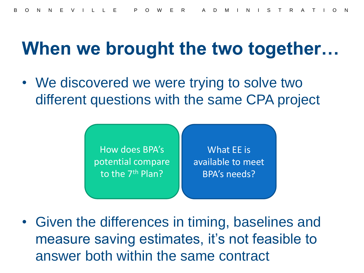#### **When we brought the two together…**

• We discovered we were trying to solve two different questions with the same CPA project



• Given the differences in timing, baselines and measure saving estimates, it's not feasible to answer both within the same contract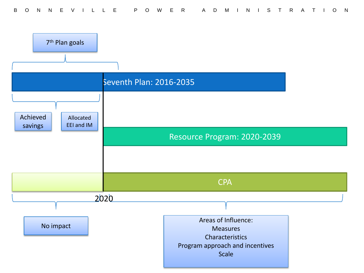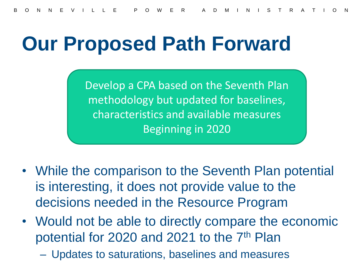#### **Our Proposed Path Forward**

Develop a CPA based on the Seventh Plan methodology but updated for baselines, characteristics and available measures Beginning in 2020

- While the comparison to the Seventh Plan potential is interesting, it does not provide value to the decisions needed in the Resource Program
- Would not be able to directly compare the economic potential for 2020 and 2021 to the 7<sup>th</sup> Plan
	- Updates to saturations, baselines and measures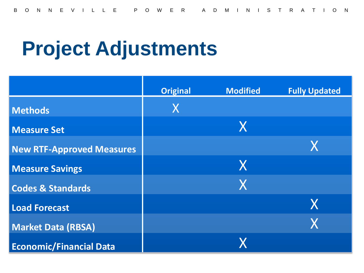## **Project Adjustments**

|                                  | <b>Original</b> | <b>Modified</b> | <b>Fully Updated</b> |
|----------------------------------|-----------------|-----------------|----------------------|
| <b>Methods</b>                   | X               |                 |                      |
| <b>Measure Set</b>               |                 | X               |                      |
| <b>New RTF-Approved Measures</b> |                 |                 | X                    |
| <b>Measure Savings</b>           |                 | X               |                      |
| <b>Codes &amp; Standards</b>     |                 | X               |                      |
| <b>Load Forecast</b>             |                 |                 | X                    |
| <b>Market Data (RBSA)</b>        |                 |                 | X                    |
| <b>Economic/Financial Data</b>   |                 |                 |                      |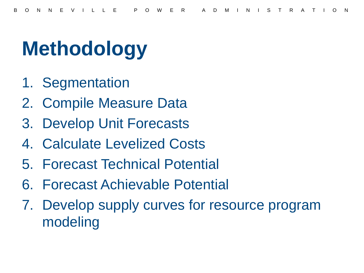# **Methodology**

- 1. Segmentation
- 2. Compile Measure Data
- 3. Develop Unit Forecasts
- 4. Calculate Levelized Costs
- 5. Forecast Technical Potential
- 6. Forecast Achievable Potential
- 7. Develop supply curves for resource program modeling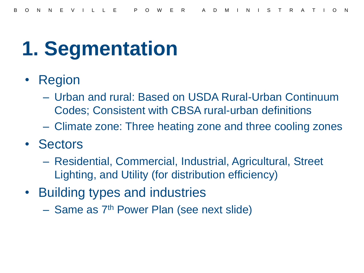#### **1. Segmentation**

- Region
	- Urban and rural: Based on USDA Rural-Urban Continuum Codes; Consistent with CBSA rural-urban definitions
	- Climate zone: Three heating zone and three cooling zones
- Sectors
	- Residential, Commercial, Industrial, Agricultural, Street Lighting, and Utility (for distribution efficiency)
- Building types and industries
	- Same as 7th Power Plan (see next slide)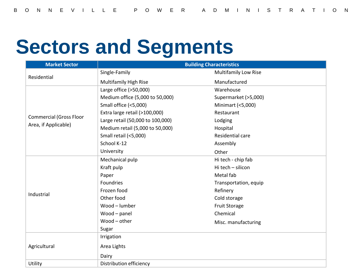### **Sectors and Segments**

| <b>Market Sector</b>                                   | <b>Building Characteristics</b>  |                             |  |  |  |
|--------------------------------------------------------|----------------------------------|-----------------------------|--|--|--|
| Residential                                            | Single-Family                    | <b>Multifamily Low Rise</b> |  |  |  |
|                                                        | <b>Multifamily High Rise</b>     | Manufactured                |  |  |  |
|                                                        | Large office (>50,000)           | Warehouse                   |  |  |  |
|                                                        | Medium office (5,000 to 50,000)  | Supermarket (>5,000)        |  |  |  |
|                                                        | Small office (<5,000)            | Minimart (<5,000)           |  |  |  |
|                                                        | Extra large retail (>100,000)    | Restaurant                  |  |  |  |
| <b>Commercial (Gross Floor</b><br>Area, if Applicable) | Large retail (50,000 to 100,000) | Lodging                     |  |  |  |
|                                                        | Medium retail (5,000 to 50,000)  | Hospital                    |  |  |  |
|                                                        | Small retail (<5,000)            | Residential care            |  |  |  |
|                                                        | School K-12                      | Assembly                    |  |  |  |
|                                                        | University                       | Other                       |  |  |  |
|                                                        | Mechanical pulp                  | Hi tech - chip fab          |  |  |  |
|                                                        | Kraft pulp                       | Hi tech - silicon           |  |  |  |
|                                                        | Paper                            | Metal fab                   |  |  |  |
|                                                        | Foundries                        | Transportation, equip       |  |  |  |
| Industrial                                             | Frozen food                      | Refinery                    |  |  |  |
|                                                        | Other food                       | Cold storage                |  |  |  |
|                                                        | Wood - lumber                    | <b>Fruit Storage</b>        |  |  |  |
|                                                        | Wood-panel                       | Chemical                    |  |  |  |
|                                                        | Wood-other                       | Misc. manufacturing         |  |  |  |
|                                                        | Sugar                            |                             |  |  |  |
|                                                        | Irrigation                       |                             |  |  |  |
| Agricultural                                           | Area Lights                      |                             |  |  |  |
|                                                        | Dairy                            |                             |  |  |  |
| Utility                                                | Distribution efficiency          |                             |  |  |  |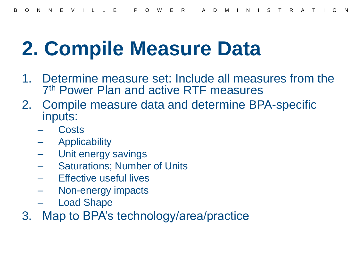### **2. Compile Measure Data**

- 1. Determine measure set: Include all measures from the 7 th Power Plan and active RTF measures
- 2. Compile measure data and determine BPA-specific inputs:
	- **Costs**
	- **Applicability**
	- Unit energy savings
	- **Saturations; Number of Units**
	- Effective useful lives
	- Non-energy impacts
	- **Load Shape**
- 3. Map to BPA's technology/area/practice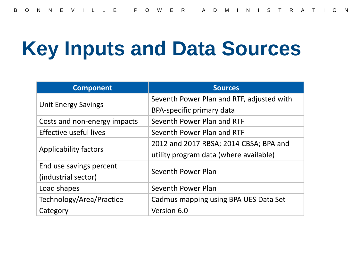## **Key Inputs and Data Sources**

| <b>Component</b>             | <b>Sources</b>                            |  |  |
|------------------------------|-------------------------------------------|--|--|
|                              | Seventh Power Plan and RTF, adjusted with |  |  |
| <b>Unit Energy Savings</b>   | BPA-specific primary data                 |  |  |
| Costs and non-energy impacts | Seventh Power Plan and RTF                |  |  |
| Effective useful lives       | Seventh Power Plan and RTF                |  |  |
|                              | 2012 and 2017 RBSA; 2014 CBSA; BPA and    |  |  |
| Applicability factors        | utility program data (where available)    |  |  |
| End use savings percent      | Seventh Power Plan                        |  |  |
| (industrial sector)          |                                           |  |  |
| Load shapes                  | Seventh Power Plan                        |  |  |
| Technology/Area/Practice     | Cadmus mapping using BPA UES Data Set     |  |  |
| Category                     | Version 6.0                               |  |  |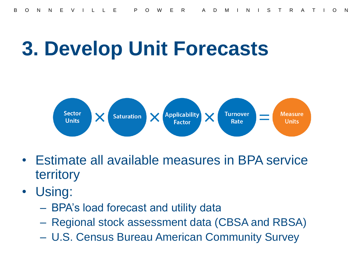### **3. Develop Unit Forecasts**



- Estimate all available measures in BPA service territory
- Using:
	- BPA's load forecast and utility data
	- Regional stock assessment data (CBSA and RBSA)
	- U.S. Census Bureau American Community Survey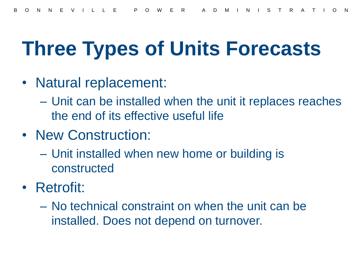## **Three Types of Units Forecasts**

- Natural replacement:
	- Unit can be installed when the unit it replaces reaches the end of its effective useful life
- New Construction:
	- Unit installed when new home or building is constructed
- Retrofit:
	- No technical constraint on when the unit can be installed. Does not depend on turnover.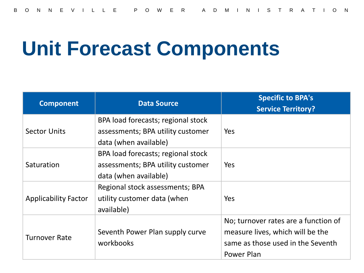#### **Unit Forecast Components**

| <b>Component</b>            | <b>Data Source</b>                                                      | <b>Specific to BPA's</b><br><b>Service Territory?</b> |
|-----------------------------|-------------------------------------------------------------------------|-------------------------------------------------------|
| <b>Sector Units</b>         | BPA load forecasts; regional stock<br>assessments; BPA utility customer | Yes                                                   |
|                             | data (when available)                                                   |                                                       |
| Saturation                  | BPA load forecasts; regional stock                                      |                                                       |
|                             | assessments; BPA utility customer                                       | Yes                                                   |
|                             | data (when available)<br>Regional stock assessments; BPA                |                                                       |
| <b>Applicability Factor</b> | utility customer data (when<br>available)                               | Yes                                                   |
|                             |                                                                         | No; turnover rates are a function of                  |
| <b>Turnover Rate</b>        | Seventh Power Plan supply curve                                         | measure lives, which will be the                      |
|                             | workbooks                                                               | same as those used in the Seventh                     |
|                             |                                                                         | Power Plan                                            |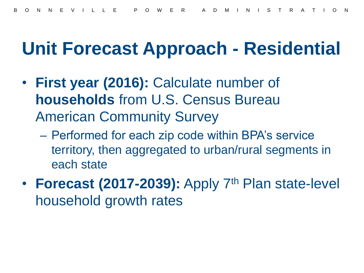#### **Unit Forecast Approach - Residential**

- **First year (2016):** Calculate number of **households** from U.S. Census Bureau American Community Survey
	- Performed for each zip code within BPA's service territory, then aggregated to urban/rural segments in each state
- **Forecast (2017-2039):** Apply 7<sup>th</sup> Plan state-level household growth rates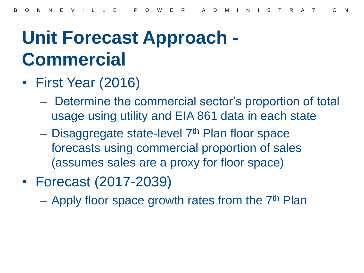#### **Unit Forecast Approach - Commercial**

- First Year (2016)
	- Determine the commercial sector's proportion of total usage using utility and EIA 861 data in each state
	- Disaggregate state-level 7<sup>th</sup> Plan floor space forecasts using commercial proportion of sales (assumes sales are a proxy for floor space)
- Forecast (2017-2039)

– Apply floor space growth rates from the  $7<sup>th</sup>$  Plan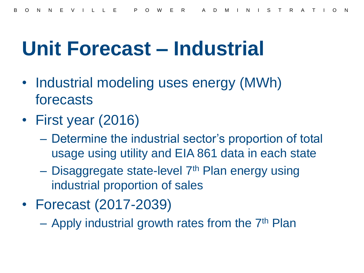#### **Unit Forecast – Industrial**

- Industrial modeling uses energy (MWh) forecasts
- First year (2016)
	- Determine the industrial sector's proportion of total usage using utility and EIA 861 data in each state
	- $-$  Disaggregate state-level  $7<sup>th</sup>$  Plan energy using industrial proportion of sales
- Forecast (2017-2039)

 $-$  Apply industrial growth rates from the  $7<sup>th</sup>$  Plan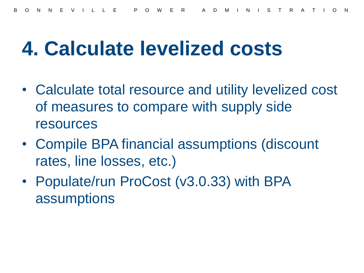#### **4. Calculate levelized costs**

- Calculate total resource and utility levelized cost of measures to compare with supply side resources
- Compile BPA financial assumptions (discount rates, line losses, etc.)
- Populate/run ProCost (v3.0.33) with BPA assumptions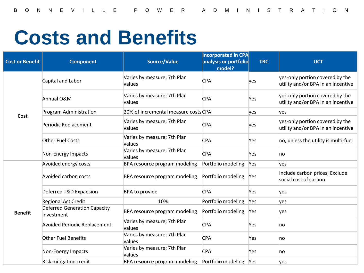## **Costs and Benefits**

| <b>Cost or Benefit</b> | <b>Component</b>                                  | <b>Source/Value</b>                                 | <b>Incorporated in CPA</b><br>analysis or portfolio<br>model? | <b>TRC</b> | <b>UCT</b>                                                            |
|------------------------|---------------------------------------------------|-----------------------------------------------------|---------------------------------------------------------------|------------|-----------------------------------------------------------------------|
| Cost                   | Capital and Labor                                 | Varies by measure; 7th Plan<br><b>CPA</b><br>values |                                                               | yes        | yes-only portion covered by the<br>utility and/or BPA in an incentive |
|                        | Annual O&M                                        | Varies by measure; 7th Plan<br>values               | <b>CPA</b>                                                    | Yes        | yes-only portion covered by the<br>utility and/or BPA in an incentive |
|                        | Program Administration                            | 20% of incremental measure costs CPA                |                                                               | yes        | yes                                                                   |
|                        | Periodic Replacement                              | Varies by measure; 7th Plan<br>values               | <b>CPA</b>                                                    | yes        | yes-only portion covered by the<br>utility and/or BPA in an incentive |
|                        | <b>Other Fuel Costs</b>                           | Varies by measure; 7th Plan<br>values               | <b>CPA</b>                                                    | Yes        | no, unless the utility is multi-fuel                                  |
|                        | Non-Energy Impacts                                | Varies by measure; 7th Plan<br>values               | <b>CPA</b>                                                    | Yes        | no                                                                    |
|                        | Avoided energy costs                              | BPA resource program modeling                       | Portfolio modeling                                            | Yes        | ves                                                                   |
|                        | Avoided carbon costs                              | BPA resource program modeling                       | Portfolio modeling                                            | Yes        | Include carbon prices; Exclude<br>social cost of carbon               |
|                        | Deferred T&D Expansion                            | BPA to provide                                      | <b>CPA</b>                                                    | Yes        | yes                                                                   |
|                        | Regional Act Credit                               | 10%                                                 | Portfolio modeling                                            | Yes        | yes                                                                   |
| <b>Benefit</b>         | <b>Deferred Generation Capacity</b><br>Investment | BPA resource program modeling                       | Portfolio modeling                                            | Yes        | yes                                                                   |
|                        | <b>Avoided Periodic Replacement</b>               | Varies by measure; 7th Plan<br>values               | <b>CPA</b>                                                    | Yes        | no                                                                    |
|                        | Other Fuel Benefits                               | Varies by measure; 7th Plan<br>values               | <b>CPA</b>                                                    | Yes        | no                                                                    |
|                        | Non-Energy Impacts                                | Varies by measure; 7th Plan<br>values               | <b>CPA</b>                                                    | Yes        | no                                                                    |
|                        | Risk mitigation credit                            | BPA resource program modeling                       | Portfolio modeling                                            | Yes        | yes                                                                   |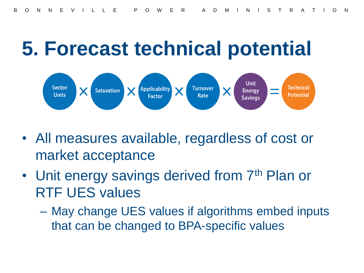#### **5. Forecast technical potential**



- All measures available, regardless of cost or market acceptance
- Unit energy savings derived from 7<sup>th</sup> Plan or RTF UES values
	- May change UES values if algorithms embed inputs that can be changed to BPA-specific values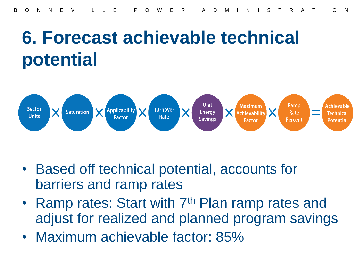#### **6. Forecast achievable technical potential**



- Based off technical potential, accounts for barriers and ramp rates
- Ramp rates: Start with 7<sup>th</sup> Plan ramp rates and adjust for realized and planned program savings
- Maximum achievable factor: 85%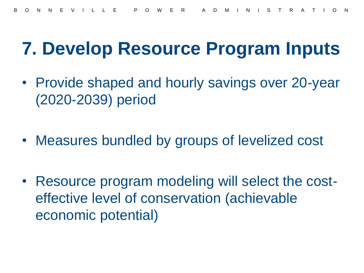#### **7. Develop Resource Program Inputs**

- Provide shaped and hourly savings over 20-year (2020-2039) period
- Measures bundled by groups of levelized cost
- Resource program modeling will select the costeffective level of conservation (achievable economic potential)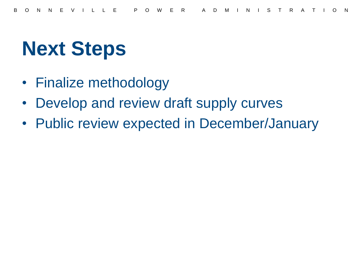## **Next Steps**

- Finalize methodology
- Develop and review draft supply curves
- Public review expected in December/January